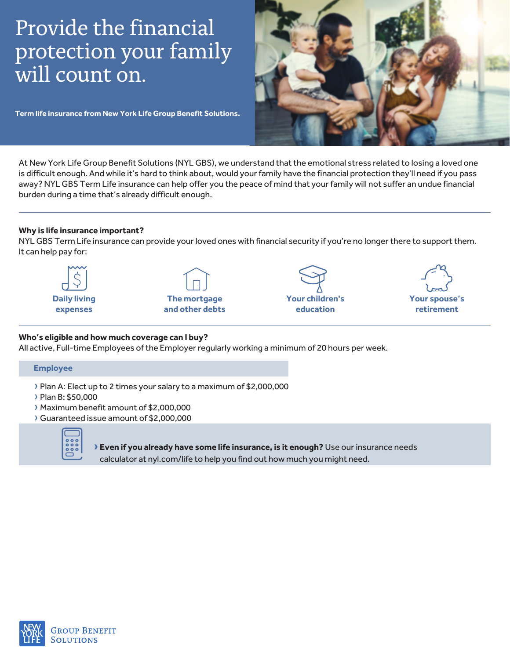# Provide the financial protection your family will count on.

**Term life insurance from New York Life Group Benefit Solutions.** 

At New York Life Group Benefit Solutions (NYL GBS), we understand that the emotional stress related to losing a loved one is difficult enough. And while it's hard to think about, would your family have the financial protection they'll need if you pass away? NYL GBS Term Life insurance can help offer you the peace of mind that your family will not suffer an undue financial burden during a time that's already difficult enough.

# **Why is life insurance important?**

NYL GBS Term Life insurance can provide your loved ones with financial security if you're no longer there to support them. It can help pay for:



**The mortgage and other debts** 





# Who's eligible and how much coverage can I buy?

All active, Full-time Employees of the Employer regularly working a minimum of 20 hours per week.

### **Employee**

- › Plan A: Elect up to 2 times your salary to a maximum of \$2,000,000
- › Plan B: \$50,000
- › Maximum benefit amount of \$2,000,000
- › Guaranteed issue amount of \$2,000,000



**› E[ven if you alr](http://ww.nyl.com/life)eady have some life insurance, is it enough?** Use our insurance needs calculator at nyl.com/life to help you find out how much you might need.